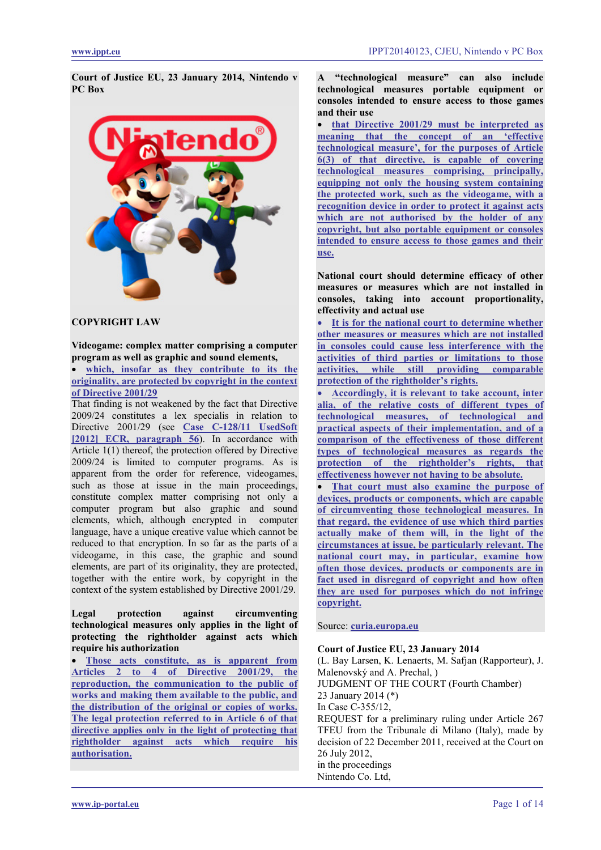**Court of Justice EU, 23 January 2014, Nintendo v PC Box**



## **COPYRIGHT LAW**

**Videogame: complex matter comprising a computer program as well as graphic and sound elements,** 

• **[which, insofar as they contribute to its the](#page-3-0)  [originality, are protected by copyright in the context](#page-3-0)  [of Directive 2001/29](#page-3-0)**

That finding is not weakened by the fact that Directive 2009/24 constitutes a lex specialis in relation to Directive 2001/29 (see **[Case C-128/11 UsedSoft](http://ippt.eu/files/2012/IPPT20120703_ECJ_UsedSoft_v_Oracle.pdf)  [\[2012\] ECR, paragraph 56](http://ippt.eu/files/2012/IPPT20120703_ECJ_UsedSoft_v_Oracle.pdf)**). In accordance with Article 1(1) thereof, the protection offered by Directive 2009/24 is limited to computer programs. As is apparent from the order for reference, videogames, such as those at issue in the main proceedings, constitute complex matter comprising not only a computer program but also graphic and sound elements, which, although encrypted in computer language, have a unique creative value which cannot be reduced to that encryption. In so far as the parts of a videogame, in this case, the graphic and sound elements, are part of its originality, they are protected, together with the entire work, by copyright in the context of the system established by Directive 2001/29.

# **Legal protection against circumventing technological measures only applies in the light of protecting the rightholder against acts which require his authorization**

• **[Those acts constitute, as is apparent from](#page-3-1)  [Articles 2 to 4 of Directive 2001/29, the](#page-3-1)  [reproduction, the communication to the public of](#page-3-1)  [works and making them available to the public, and](#page-3-1)  [the distribution of the original or copies of works.](#page-3-1)  [The legal protection referred to in Article 6 of that](#page-3-1)  [directive applies only in the light of protecting that](#page-3-1)  [rightholder against acts which require his](#page-3-1)  [authorisation.](#page-3-1)**

**A "technological measure" can also include technological measures portable equipment or consoles intended to ensure access to those games and their use**

• **[that Directive 2001/29 must be interpreted as](#page-4-0)  [meaning that the concept of an 'effective](#page-4-0)  [technological measure', for the purposes of Article](#page-4-0)  [6\(3\) of that directive, is capable of covering](#page-4-0)  [technological measures comprising, principally,](#page-4-0)  [equipping not only the housing system containing](#page-4-0)  [the protected work, such as the videogame, with a](#page-4-0)  [recognition device in order to protect it against acts](#page-4-0)  [which are not authorised by the holder of any](#page-4-0)  [copyright, but also portable equipment or consoles](#page-4-0)  [intended to ensure access to those games and their](#page-4-0)  [use.](#page-4-0)**

**National court should determine efficacy of other measures or measures which are not installed in consoles, taking into account proportionality, effectivity and actual use**

It is for the national court to determine whether **[other measures or measures which are not installed](#page-5-0)  [in consoles could cause less interference with the](#page-5-0)  [activities of third parties or limitations to those](#page-5-0)  [activities, while still providing comparable](#page-5-0)  [protection of the rightholder's rights.](#page-5-0)** 

• **[Accordingly, it is relevant to take account, inter](#page-5-0)  [alia, of the relative costs of different types of](#page-5-0)  [technological measures, of technological and](#page-5-0)  [practical aspects of their implementation, and of a](#page-5-0)  [comparison of the effectiveness of those different](#page-5-0)  [types of technological measures as regards the](#page-5-0)  [protection of the rightholder's rights, that](#page-5-0)  [effectiveness however not having to be absolute.](#page-5-0)** 

• **[That court must also examine the purpose of](#page-5-0)  [devices, products or components, which are capable](#page-5-0)  [of circumventing those technological measures. In](#page-5-0)  [that regard, the evidence of use which third parties](#page-5-0)  [actually make of them will,](#page-5-0) in the light of the [circumstances at issue, be particularly relevant. The](#page-5-0)  [national court may, in particular, examine how](#page-5-0)  [often those devices, products or components are in](#page-5-0)  [fact used in disregard of copyright and how often](#page-5-0)  [they are used for purposes which do not infringe](#page-5-0)  [copyright.](#page-5-0)**

Source: **[curia.europa.eu](http://curia.europa.eu/juris/liste.jsf?language=en&jur=C,T,F&num=C-355/12&td=ALL)**

## **Court of Justice EU, 23 January 2014**

(L. Bay Larsen, K. Lenaerts, M. Safjan (Rapporteur), J. Malenovský and A. Prechal, ) JUDGMENT OF THE COURT (Fourth Chamber) 23 January 2014 (\*) In Case C-355/12, REQUEST for a preliminary ruling under Article 267 TFEU from the Tribunale di Milano (Italy), made by decision of 22 December 2011, received at the Court on 26 July 2012, in the proceedings Nintendo Co. Ltd,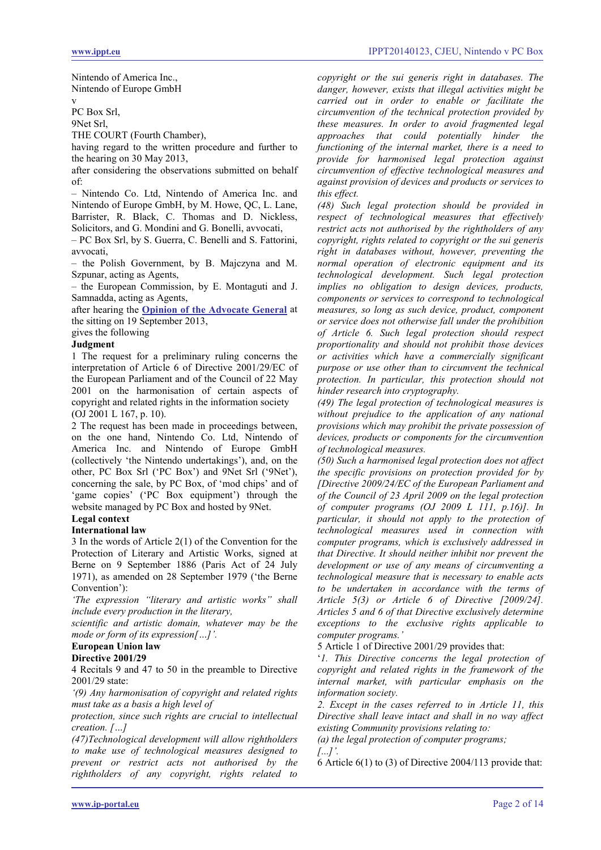Nintendo of America Inc., Nintendo of Europe GmbH

v PC Box Srl,

9Net Srl,

THE COURT (Fourth Chamber),

having regard to the written procedure and further to the hearing on 30 May 2013,

after considering the observations submitted on behalf of:

– Nintendo Co. Ltd, Nintendo of America Inc. and Nintendo of Europe GmbH, by M. Howe, QC, L. Lane, Barrister, R. Black, C. Thomas and D. Nickless,

Solicitors, and G. Mondini and G. Bonelli, avvocati,

– PC Box Srl, by S. Guerra, C. Benelli and S. Fattorini, avvocati,

– the Polish Government, by B. Majczyna and M. Szpunar, acting as Agents,

– the European Commission, by E. Montaguti and J. Samnadda, acting as Agents,

after hearing the **[Opinion of the Advocate General](#page-5-1)** at the sitting on 19 September 2013,

gives the following

### **Judgment**

1 The request for a preliminary ruling concerns the interpretation of Article 6 of Directive 2001/29/EC of the European Parliament and of the Council of 22 May 2001 on the harmonisation of certain aspects of copyright and related rights in the information society (OJ 2001 L 167, p. 10).

2 The request has been made in proceedings between, on the one hand, Nintendo Co. Ltd, Nintendo of America Inc. and Nintendo of Europe GmbH (collectively 'the Nintendo undertakings'), and, on the other, PC Box Srl ('PC Box') and 9Net Srl ('9Net'), concerning the sale, by PC Box, of 'mod chips' and of 'game copies' ('PC Box equipment') through the website managed by PC Box and hosted by 9Net.

# **Legal context**

### **International law**

3 In the words of Article 2(1) of the Convention for the Protection of Literary and Artistic Works, signed at Berne on 9 September 1886 (Paris Act of 24 July 1971), as amended on 28 September 1979 ('the Berne Convention'):

*'The expression "literary and artistic works" shall include every production in the literary,*

*scientific and artistic domain, whatever may be the mode or form of its expression[…]'.*

### **European Union law**

### **Directive 2001/29**

4 Recitals 9 and 47 to 50 in the preamble to Directive 2001/29 state:

*'(9) Any harmonisation of copyright and related rights must take as a basis a high level of*

*protection, since such rights are crucial to intellectual creation. […]*

*(47)Technological development will allow rightholders to make use of technological measures designed to prevent or restrict acts not authorised by the rightholders of any copyright, rights related to*  *copyright or the sui generis right in databases. The danger, however, exists that illegal activities might be carried out in order to enable or facilitate the circumvention of the technical protection provided by these measures. In order to avoid fragmented legal approaches that could potentially hinder the functioning of the internal market, there is a need to provide for harmonised legal protection against circumvention of effective technological measures and against provision of devices and products or services to this effect.*

*(48) Such legal protection should be provided in respect of technological measures that effectively restrict acts not authorised by the rightholders of any copyright, rights related to copyright or the sui generis right in databases without, however, preventing the normal operation of electronic equipment and its technological development. Such legal protection implies no obligation to design devices, products, components or services to correspond to technological measures, so long as such device, product, component or service does not otherwise fall under the prohibition of Article 6. Such legal protection should respect proportionality and should not prohibit those devices or activities which have a commercially significant purpose or use other than to circumvent the technical protection. In particular, this protection should not hinder research into cryptography.*

*(49) The legal protection of technological measures is without prejudice to the application of any national provisions which may prohibit the private possession of devices, products or components for the circumvention of technological measures.*

*(50) Such a harmonised legal protection does not affect the specific provisions on protection provided for by [Directive 2009/24/EC of the European Parliament and of the Council of 23 April 2009 on the legal protection of computer programs (OJ 2009 L 111, p.16)]. In particular, it should not apply to the protection of technological measures used in connection with computer programs, which is exclusively addressed in that Directive. It should neither inhibit nor prevent the development or use of any means of circumventing a technological measure that is necessary to enable acts to be undertaken in accordance with the terms of Article 5(3) or Article 6 of Directive [2009/24]. Articles 5 and 6 of that Directive exclusively determine exceptions to the exclusive rights applicable to computer programs.'*

5 Article 1 of Directive 2001/29 provides that:

'*1. This Directive concerns the legal protection of copyright and related rights in the framework of the internal market, with particular emphasis on the information society.*

*2. Except in the cases referred to in Article 11, this Directive shall leave intact and shall in no way affect existing Community provisions relating to:*

*(a) the legal protection of computer programs;*

*[...]'.*

6 Article 6(1) to (3) of Directive 2004/113 provide that: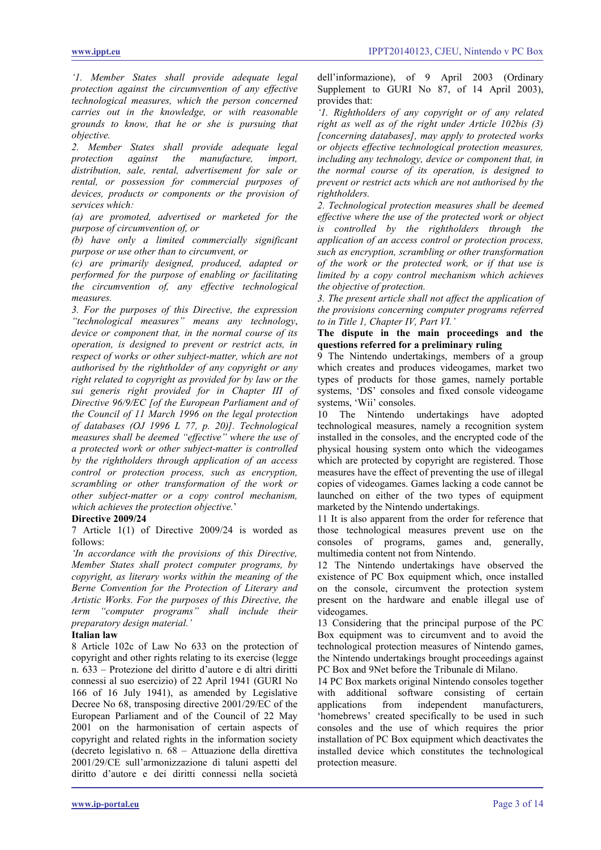*'1. Member States shall provide adequate legal protection against the circumvention of any effective technological measures, which the person concerned carries out in the knowledge, or with reasonable grounds to know, that he or she is pursuing that objective.*

*2. Member States shall provide adequate legal protection against the manufacture, import, distribution, sale, rental, advertisement for sale or rental, or possession for commercial purposes of devices, products or components or the provision of services which:*

*(a) are promoted, advertised or marketed for the purpose of circumvention of, or*

*(b) have only a limited commercially significant purpose or use other than to circumvent, or*

*(c) are primarily designed, produced, adapted or performed for the purpose of enabling or facilitating the circumvention of, any effective technological measures.*

*3. For the purposes of this Directive, the expression "technological measures" means any technology*, *device or component that, in the normal course of its operation, is designed to prevent or restrict acts, in respect of works or other subject-matter, which are not authorised by the rightholder of any copyright or any right related to copyright as provided for by law or the sui generis right provided for in Chapter III of Directive 96/9/EC [of the European Parliament and of the Council of 11 March 1996 on the legal protection of databases (OJ 1996 L 77, p. 20)]. Technological measures shall be deemed "effective" where the use of a protected work or other subject-matter is controlled by the rightholders through application of an access control or protection process, such as encryption, scrambling or other transformation of the work or other subject-matter or a copy control mechanism, which achieves the protection objective.*'

#### **Directive 2009/24**

7 Article 1(1) of Directive 2009/24 is worded as follows:

*'In accordance with the provisions of this Directive, Member States shall protect computer programs, by copyright, as literary works within the meaning of the Berne Convention for the Protection of Literary and Artistic Works. For the purposes of this Directive, the term "computer programs" shall include their preparatory design material.'*

#### **Italian law**

8 Article 102c of Law No 633 on the protection of copyright and other rights relating to its exercise (legge n. 633 – Protezione del diritto d'autore e di altri diritti connessi al suo esercizio) of 22 April 1941 (GURI No 166 of 16 July 1941), as amended by Legislative Decree No 68, transposing directive 2001/29/EC of the European Parliament and of the Council of 22 May 2001 on the harmonisation of certain aspects of copyright and related rights in the information society (decreto legislativo n. 68 – Attuazione della direttiva 2001/29/CE sull'armonizzazione di taluni aspetti del diritto d'autore e dei diritti connessi nella società

dell'informazione), of 9 April 2003 (Ordinary Supplement to GURI No 87, of 14 April 2003), provides that:

*'1. Rightholders of any copyright or of any related right as well as of the right under Article 102bis (3) [concerning databases], may apply to protected works or objects effective technological protection measures, including any technology, device or component that, in the normal course of its operation, is designed to prevent or restrict acts which are not authorised by the rightholders.*

*2. Technological protection measures shall be deemed effective where the use of the protected work or object is controlled by the rightholders through the application of an access control or protection process, such as encryption, scrambling or other transformation of the work or the protected work, or if that use is limited by a copy control mechanism which achieves the objective of protection.*

*3. The present article shall not affect the application of the provisions concerning computer programs referred to in Title 1, Chapter IV, Part VI.'*

**The dispute in the main proceedings and the questions referred for a preliminary ruling**

9 The Nintendo undertakings, members of a group which creates and produces videogames, market two types of products for those games, namely portable systems, 'DS' consoles and fixed console videogame systems, 'Wii' consoles.<br>10 The Nintendo

10 The Nintendo undertakings have adopted technological measures, namely a recognition system installed in the consoles, and the encrypted code of the physical housing system onto which the videogames which are protected by copyright are registered. Those measures have the effect of preventing the use of illegal copies of videogames. Games lacking a code cannot be launched on either of the two types of equipment marketed by the Nintendo undertakings.

11 It is also apparent from the order for reference that those technological measures prevent use on the consoles of programs, games and, generally, multimedia content not from Nintendo.

12 The Nintendo undertakings have observed the existence of PC Box equipment which, once installed on the console, circumvent the protection system present on the hardware and enable illegal use of videogames.

13 Considering that the principal purpose of the PC Box equipment was to circumvent and to avoid the technological protection measures of Nintendo games, the Nintendo undertakings brought proceedings against PC Box and 9Net before the Tribunale di Milano.

14 PC Box markets original Nintendo consoles together with additional software consisting of certain applications from independent manufacturers, 'homebrews' created specifically to be used in such consoles and the use of which requires the prior installation of PC Box equipment which deactivates the installed device which constitutes the technological protection measure.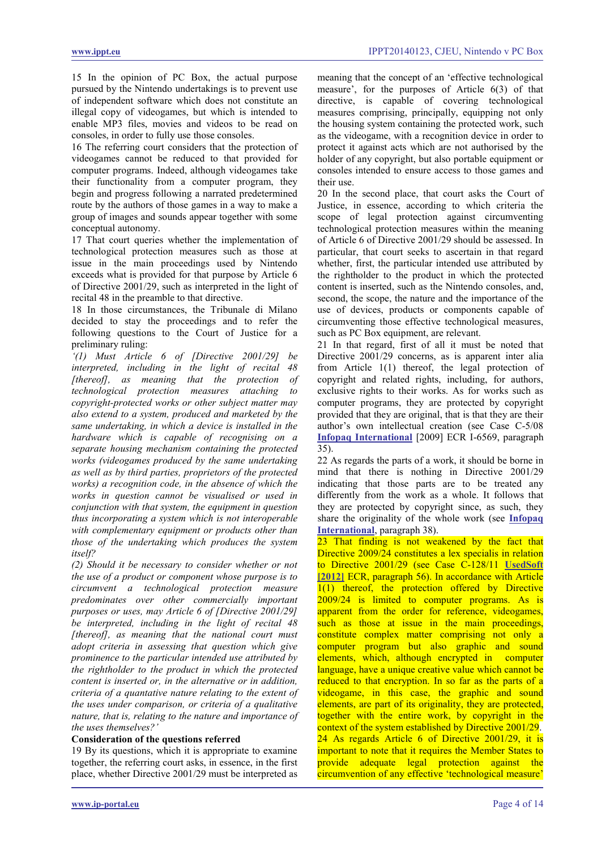15 In the opinion of PC Box, the actual purpose pursued by the Nintendo undertakings is to prevent use of independent software which does not constitute an illegal copy of videogames, but which is intended to enable MP3 files, movies and videos to be read on consoles, in order to fully use those consoles.

16 The referring court considers that the protection of videogames cannot be reduced to that provided for computer programs. Indeed, although videogames take their functionality from a computer program, they begin and progress following a narrated predetermined route by the authors of those games in a way to make a group of images and sounds appear together with some conceptual autonomy.

17 That court queries whether the implementation of technological protection measures such as those at issue in the main proceedings used by Nintendo exceeds what is provided for that purpose by Article 6 of Directive 2001/29, such as interpreted in the light of recital 48 in the preamble to that directive.

18 In those circumstances, the Tribunale di Milano decided to stay the proceedings and to refer the following questions to the Court of Justice for a preliminary ruling:

*'(1) Must Article 6 of [Directive 2001/29] be interpreted, including in the light of recital 48 [thereof], as meaning that the protection of technological protection measures attaching to copyright-protected works or other subject matter may also extend to a system, produced and marketed by the same undertaking, in which a device is installed in the hardware which is capable of recognising on a separate housing mechanism containing the protected works (videogames produced by the same undertaking as well as by third parties, proprietors of the protected works) a recognition code, in the absence of which the works in question cannot be visualised or used in conjunction with that system, the equipment in question thus incorporating a system which is not interoperable with complementary equipment or products other than those of the undertaking which produces the system itself?*

*(2) Should it be necessary to consider whether or not the use of a product or component whose purpose is to circumvent a technological protection measure predominates over other commercially important purposes or uses, may Article 6 of [Directive 2001/29] be interpreted, including in the light of recital 48 [thereof], as meaning that the national court must adopt criteria in assessing that question which give prominence to the particular intended use attributed by the rightholder to the product in which the protected content is inserted or, in the alternative or in addition, criteria of a quantative nature relating to the extent of the uses under comparison, or criteria of a qualitative nature, that is, relating to the nature and importance of the uses themselves?'*

### **Consideration of the questions referred**

19 By its questions, which it is appropriate to examine together, the referring court asks, in essence, in the first place, whether Directive 2001/29 must be interpreted as meaning that the concept of an 'effective technological measure', for the purposes of Article 6(3) of that directive, is capable of covering technological measures comprising, principally, equipping not only the housing system containing the protected work, such as the videogame, with a recognition device in order to protect it against acts which are not authorised by the holder of any copyright, but also portable equipment or consoles intended to ensure access to those games and their use.

20 In the second place, that court asks the Court of Justice, in essence, according to which criteria the scope of legal protection against circumventing technological protection measures within the meaning of Article 6 of Directive 2001/29 should be assessed. In particular, that court seeks to ascertain in that regard whether, first, the particular intended use attributed by the rightholder to the product in which the protected content is inserted, such as the Nintendo consoles, and, second, the scope, the nature and the importance of the use of devices, products or components capable of circumventing those effective technological measures, such as PC Box equipment, are relevant.

21 In that regard, first of all it must be noted that Directive 2001/29 concerns, as is apparent inter alia from Article 1(1) thereof, the legal protection of copyright and related rights, including, for authors, exclusive rights to their works. As for works such as computer programs, they are protected by copyright provided that they are original, that is that they are their author's own intellectual creation (see Case C-5/08 **[Infopaq International](http://www.ippt.eu/files/2009/IPPT20090716_ECJ_Infopaq_v_DDF.pdf)** [2009] ECR I-6569, paragraph 35).

22 As regards the parts of a work, it should be borne in mind that there is nothing in Directive 2001/29 indicating that those parts are to be treated any differently from the work as a whole. It follows that they are protected by copyright since, as such, they share the originality of the whole work (see **[Infopaq](http://www.ippt.eu/files/2009/IPPT20090716_ECJ_Infopaq_v_DDF.pdf)  [International](http://www.ippt.eu/files/2009/IPPT20090716_ECJ_Infopaq_v_DDF.pdf)**, paragraph 38).

<span id="page-3-1"></span><span id="page-3-0"></span>23 That finding is not weakened by the fact that Directive 2009/24 constitutes a lex specialis in relation to Directive 2001/29 (see Case C-128/11 **[UsedSoft](http://www.ippt.eu/files/2012/IPPT20120703_ECJ_UsedSoft_v_Oracle.pdf)**  [\[2012\]](http://www.ippt.eu/files/2012/IPPT20120703_ECJ_UsedSoft_v_Oracle.pdf) ECR, paragraph 56). In accordance with Article  $1(1)$  thereof, the protection offered by Directive 2009/24 is limited to computer programs. As is apparent from the order for reference, videogames, such as those at issue in the main proceedings, constitute complex matter comprising not only a computer program but also graphic and sound elements, which, although encrypted in computer language, have a unique creative value which cannot be reduced to that encryption. In so far as the parts of a videogame, in this case, the graphic and sound elements, are part of its originality, they are protected, together with the entire work, by copyright in the context of the system established by Directive 2001/29. 24 As regards Article 6 of Directive 2001/29, it is important to note that it requires the Member States to provide adequate legal protection against the circumvention of any effective 'technological measure'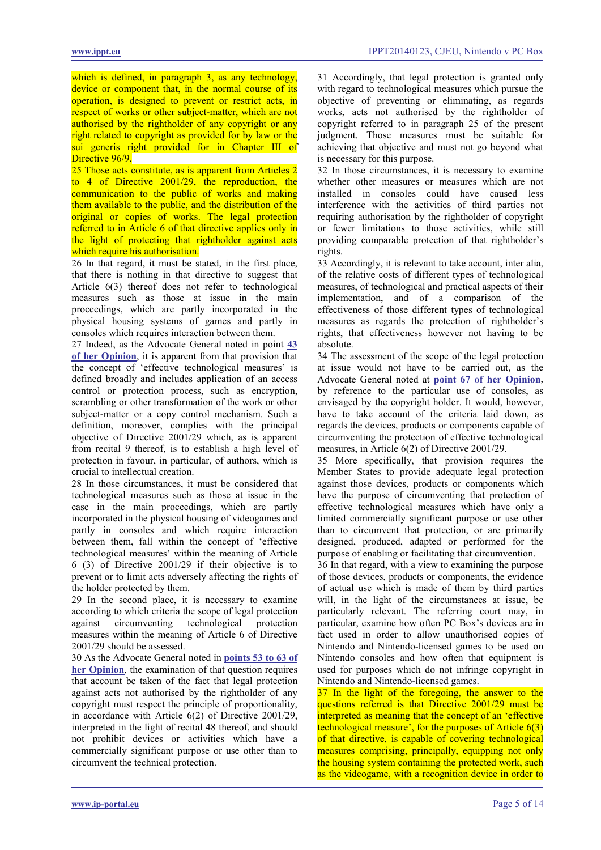which is defined, in paragraph 3, as any technology, device or component that, in the normal course of its operation, is designed to prevent or restrict acts, in respect of works or other subject-matter, which are not authorised by the rightholder of any copyright or any right related to copyright as provided for by law or the sui generis right provided for in Chapter III of Directive 96/9.

25 Those acts constitute, as is apparent from Articles 2 to 4 of Directive 2001/29, the reproduction, the communication to the public of works and making them available to the public, and the distribution of the original or copies of works. The legal protection referred to in Article 6 of that directive applies only in the light of protecting that rightholder against acts which require his authorisation.

26 In that regard, it must be stated, in the first place, that there is nothing in that directive to suggest that Article 6(3) thereof does not refer to technological measures such as those at issue in the main proceedings, which are partly incorporated in the physical housing systems of games and partly in consoles which requires interaction between them.

27 Indeed, as the Advocate General noted in point **[43](#page-9-0)  [of her Opinion](#page-9-0)**, it is apparent from that provision that the concept of 'effective technological measures' is defined broadly and includes application of an access control or protection process, such as encryption, scrambling or other transformation of the work or other subject-matter or a copy control mechanism. Such a definition, moreover, complies with the principal objective of Directive 2001/29 which, as is apparent from recital 9 thereof, is to establish a high level of protection in favour, in particular, of authors, which is crucial to intellectual creation.

28 In those circumstances, it must be considered that technological measures such as those at issue in the case in the main proceedings, which are partly incorporated in the physical housing of videogames and partly in consoles and which require interaction between them, fall within the concept of 'effective technological measures' within the meaning of Article 6 (3) of Directive 2001/29 if their objective is to prevent or to limit acts adversely affecting the rights of the holder protected by them.

29 In the second place, it is necessary to examine according to which criteria the scope of legal protection against circumventing technological protection measures within the meaning of Article 6 of Directive 2001/29 should be assessed.

30 As the Advocate General noted in **[points 53 to 63 of](#page-10-0)  [her Opinion](#page-10-0)**, the examination of that question requires that account be taken of the fact that legal protection against acts not authorised by the rightholder of any copyright must respect the principle of proportionality, in accordance with Article 6(2) of Directive 2001/29, interpreted in the light of recital 48 thereof, and should not prohibit devices or activities which have a commercially significant purpose or use other than to circumvent the technical protection.

31 Accordingly, that legal protection is granted only with regard to technological measures which pursue the objective of preventing or eliminating, as regards works, acts not authorised by the rightholder of copyright referred to in paragraph 25 of the present judgment. Those measures must be suitable for achieving that objective and must not go beyond what is necessary for this purpose.

32 In those circumstances, it is necessary to examine whether other measures or measures which are not installed in consoles could have caused less interference with the activities of third parties not requiring authorisation by the rightholder of copyright or fewer limitations to those activities, while still providing comparable protection of that rightholder's rights.

33 Accordingly, it is relevant to take account, inter alia, of the relative costs of different types of technological measures, of technological and practical aspects of their implementation, and of a comparison of the effectiveness of those different types of technological measures as regards the protection of rightholder's rights, that effectiveness however not having to be absolute.

34 The assessment of the scope of the legal protection at issue would not have to be carried out, as the Advocate General noted at **[point 67 of her Opinion](#page-11-0)**, by reference to the particular use of consoles, as envisaged by the copyright holder. It would, however, have to take account of the criteria laid down, as regards the devices, products or components capable of circumventing the protection of effective technological measures, in Article 6(2) of Directive 2001/29.

35 More specifically, that provision requires the Member States to provide adequate legal protection against those devices, products or components which have the purpose of circumventing that protection of effective technological measures which have only a limited commercially significant purpose or use other than to circumvent that protection, or are primarily designed, produced, adapted or performed for the purpose of enabling or facilitating that circumvention.

36 In that regard, with a view to examining the purpose of those devices, products or components, the evidence of actual use which is made of them by third parties will, in the light of the circumstances at issue, be particularly relevant. The referring court may, in particular, examine how often PC Box's devices are in fact used in order to allow unauthorised copies of Nintendo and Nintendo-licensed games to be used on Nintendo consoles and how often that equipment is used for purposes which do not infringe copyright in Nintendo and Nintendo-licensed games.

<span id="page-4-0"></span>37 In the light of the foregoing, the answer to the questions referred is that Directive 2001/29 must be interpreted as meaning that the concept of an 'effective technological measure', for the purposes of Article 6(3) of that directive, is capable of covering technological measures comprising, principally, equipping not only the housing system containing the protected work, such as the videogame, with a recognition device in order to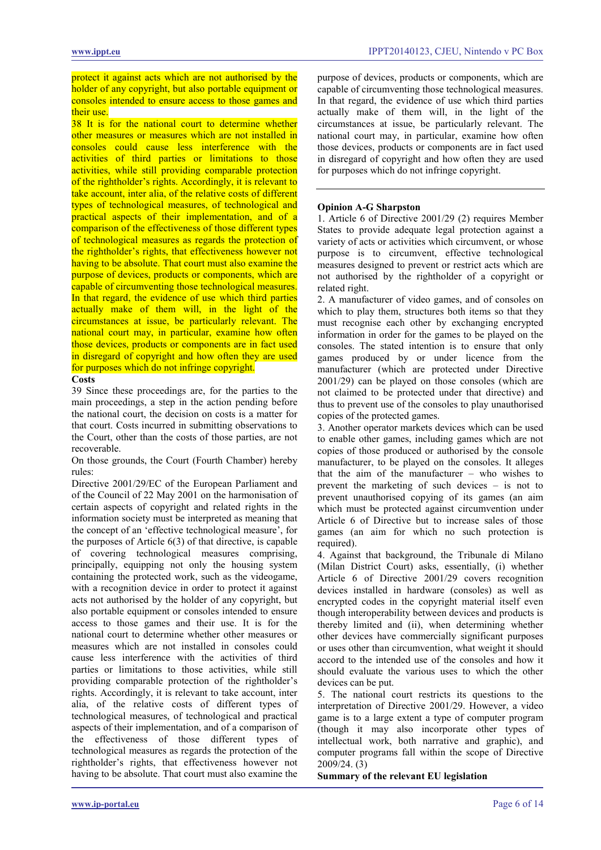protect it against acts which are not authorised by the holder of any copyright, but also portable equipment or consoles intended to ensure access to those games and their use.

<span id="page-5-0"></span>38 It is for the national court to determine whether other measures or measures which are not installed in consoles could cause less interference with the activities of third parties or limitations to those activities, while still providing comparable protection of the rightholder's rights. Accordingly, it is relevant to take account, inter alia, of the relative costs of different types of technological measures, of technological and practical aspects of their implementation, and of a comparison of the effectiveness of those different types of technological measures as regards the protection of the rightholder's rights, that effectiveness however not having to be absolute. That court must also examine the purpose of devices, products or components, which are capable of circumventing those technological measures. In that regard, the evidence of use which third parties actually make of them will, in the light of the circumstances at issue, be particularly relevant. The national court may, in particular, examine how often those devices, products or components are in fact used in disregard of copyright and how often they are used for purposes which do not infringe copyright.

#### **Costs**

39 Since these proceedings are, for the parties to the main proceedings, a step in the action pending before the national court, the decision on costs is a matter for that court. Costs incurred in submitting observations to the Court, other than the costs of those parties, are not recoverable.

On those grounds, the Court (Fourth Chamber) hereby rules:

Directive 2001/29/EC of the European Parliament and of the Council of 22 May 2001 on the harmonisation of certain aspects of copyright and related rights in the information society must be interpreted as meaning that the concept of an 'effective technological measure', for the purposes of Article 6(3) of that directive, is capable of covering technological measures comprising, principally, equipping not only the housing system containing the protected work, such as the videogame, with a recognition device in order to protect it against acts not authorised by the holder of any copyright, but also portable equipment or consoles intended to ensure access to those games and their use. It is for the national court to determine whether other measures or measures which are not installed in consoles could cause less interference with the activities of third parties or limitations to those activities, while still providing comparable protection of the rightholder's rights. Accordingly, it is relevant to take account, inter alia, of the relative costs of different types of technological measures, of technological and practical aspects of their implementation, and of a comparison of the effectiveness of those different types of technological measures as regards the protection of the rightholder's rights, that effectiveness however not having to be absolute. That court must also examine the

purpose of devices, products or components, which are capable of circumventing those technological measures. In that regard, the evidence of use which third parties actually make of them will, in the light of the circumstances at issue, be particularly relevant. The national court may, in particular, examine how often those devices, products or components are in fact used in disregard of copyright and how often they are used for purposes which do not infringe copyright.

#### <span id="page-5-1"></span>**Opinion A-G Sharpston**

1. Article 6 of Directive 2001/29 (2) requires Member States to provide adequate legal protection against a variety of acts or activities which circumvent, or whose purpose is to circumvent, effective technological measures designed to prevent or restrict acts which are not authorised by the rightholder of a copyright or related right.

2. A manufacturer of video games, and of consoles on which to play them, structures both items so that they must recognise each other by exchanging encrypted information in order for the games to be played on the consoles. The stated intention is to ensure that only games produced by or under licence from the manufacturer (which are protected under Directive 2001/29) can be played on those consoles (which are not claimed to be protected under that directive) and thus to prevent use of the consoles to play unauthorised copies of the protected games.

3. Another operator markets devices which can be used to enable other games, including games which are not copies of those produced or authorised by the console manufacturer, to be played on the consoles. It alleges that the aim of the manufacturer – who wishes to prevent the marketing of such devices – is not to prevent unauthorised copying of its games (an aim which must be protected against circumvention under Article 6 of Directive but to increase sales of those games (an aim for which no such protection is required).

4. Against that background, the Tribunale di Milano (Milan District Court) asks, essentially, (i) whether Article 6 of Directive 2001/29 covers recognition devices installed in hardware (consoles) as well as encrypted codes in the copyright material itself even though interoperability between devices and products is thereby limited and (ii), when determining whether other devices have commercially significant purposes or uses other than circumvention, what weight it should accord to the intended use of the consoles and how it should evaluate the various uses to which the other devices can be put.

5. The national court restricts its questions to the interpretation of Directive 2001/29. However, a video game is to a large extent a type of computer program (though it may also incorporate other types of intellectual work, both narrative and graphic), and computer programs fall within the scope of Directive 2009/24. (3)

**Summary of the relevant EU legislation**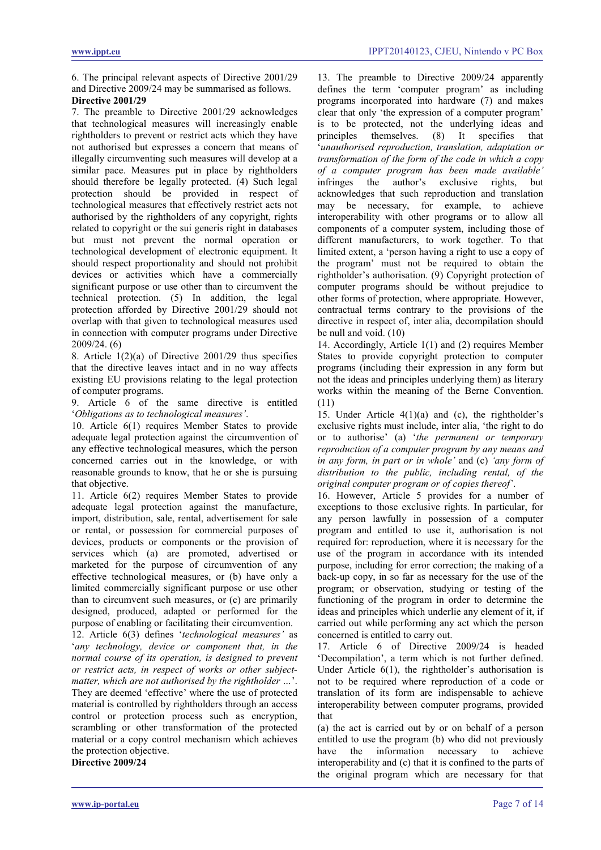6. The principal relevant aspects of Directive 2001/29 and Directive 2009/24 may be summarised as follows. **Directive 2001/29**

7. The preamble to Directive 2001/29 acknowledges that technological measures will increasingly enable rightholders to prevent or restrict acts which they have not authorised but expresses a concern that means of illegally circumventing such measures will develop at a similar pace. Measures put in place by rightholders should therefore be legally protected. (4) Such legal protection should be provided in respect of technological measures that effectively restrict acts not authorised by the rightholders of any copyright, rights related to copyright or the sui generis right in databases but must not prevent the normal operation or technological development of electronic equipment. It should respect proportionality and should not prohibit devices or activities which have a commercially significant purpose or use other than to circumvent the technical protection. (5) In addition, the legal protection afforded by Directive 2001/29 should not overlap with that given to technological measures used in connection with computer programs under Directive 2009/24. (6)

8. Article  $1(2)(a)$  of Directive 2001/29 thus specifies that the directive leaves intact and in no way affects existing EU provisions relating to the legal protection of computer programs.

9. Article 6 of the same directive is entitled '*Obligations as to technological measures'*.

10. Article 6(1) requires Member States to provide adequate legal protection against the circumvention of any effective technological measures, which the person concerned carries out in the knowledge, or with reasonable grounds to know, that he or she is pursuing that objective.

11. Article 6(2) requires Member States to provide adequate legal protection against the manufacture, import, distribution, sale, rental, advertisement for sale or rental, or possession for commercial purposes of devices, products or components or the provision of services which (a) are promoted, advertised or marketed for the purpose of circumvention of any effective technological measures, or (b) have only a limited commercially significant purpose or use other than to circumvent such measures, or (c) are primarily designed, produced, adapted or performed for the purpose of enabling or facilitating their circumvention.

12. Article 6(3) defines '*technological measures'* as '*any technology, device or component that, in the normal course of its operation, is designed to prevent or restrict acts, in respect of works or other subjectmatter, which are not authorised by the rightholder …*'. They are deemed 'effective' where the use of protected material is controlled by rightholders through an access control or protection process such as encryption, scrambling or other transformation of the protected material or a copy control mechanism which achieves the protection objective.

**Directive 2009/24**

13. The preamble to Directive 2009/24 apparently defines the term 'computer program' as including programs incorporated into hardware (7) and makes clear that only 'the expression of a computer program' is to be protected, not the underlying ideas and principles themselves. (8) It specifies that '*unauthorised reproduction, translation, adaptation or transformation of the form of the code in which a copy of a computer program has been made available'* infringes the author's exclusive rights, but acknowledges that such reproduction and translation may be necessary, for example, to achieve interoperability with other programs or to allow all components of a computer system, including those of different manufacturers, to work together. To that limited extent, a 'person having a right to use a copy of the program' must not be required to obtain the rightholder's authorisation. (9) Copyright protection of computer programs should be without prejudice to other forms of protection, where appropriate. However, contractual terms contrary to the provisions of the directive in respect of, inter alia, decompilation should be null and void. (10)

14. Accordingly, Article 1(1) and (2) requires Member States to provide copyright protection to computer programs (including their expression in any form but not the ideas and principles underlying them) as literary works within the meaning of the Berne Convention. (11)

15. Under Article 4(1)(a) and (c), the rightholder's exclusive rights must include, inter alia, 'the right to do or to authorise' (a) '*the permanent or temporary reproduction of a computer program by any means and in any form, in part or in whole'* and (c) *'any form of distribution to the public, including rental, of the original computer program or of copies thereof'*.

16. However, Article 5 provides for a number of exceptions to those exclusive rights. In particular, for any person lawfully in possession of a computer program and entitled to use it, authorisation is not required for: reproduction, where it is necessary for the use of the program in accordance with its intended purpose, including for error correction; the making of a back-up copy, in so far as necessary for the use of the program; or observation, studying or testing of the functioning of the program in order to determine the ideas and principles which underlie any element of it, if carried out while performing any act which the person concerned is entitled to carry out.

17. Article 6 of Directive 2009/24 is headed 'Decompilation', a term which is not further defined. Under Article 6(1), the rightholder's authorisation is not to be required where reproduction of a code or translation of its form are indispensable to achieve interoperability between computer programs, provided that

(a) the act is carried out by or on behalf of a person entitled to use the program (b) who did not previously have the information necessary to achieve interoperability and (c) that it is confined to the parts of the original program which are necessary for that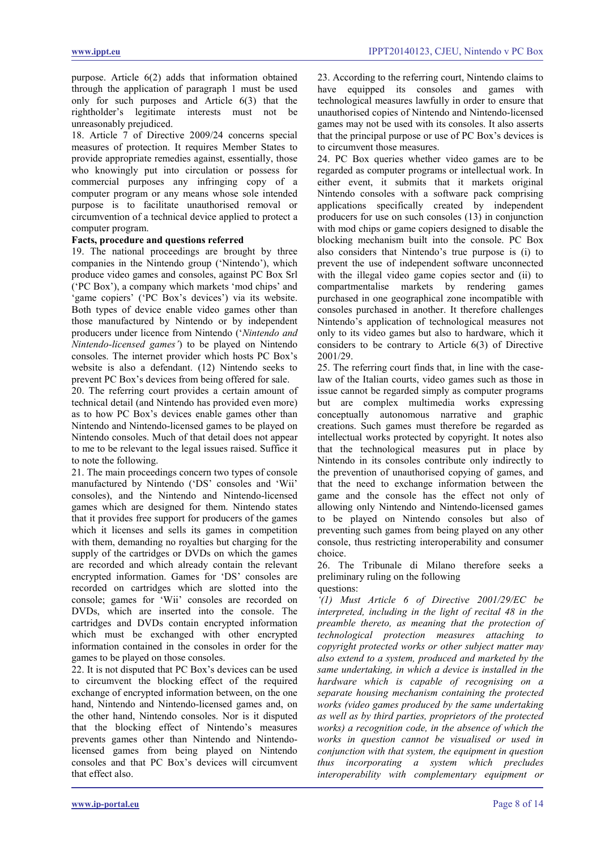purpose. Article 6(2) adds that information obtained through the application of paragraph 1 must be used only for such purposes and Article 6(3) that the rightholder's legitimate interests must not be unreasonably prejudiced.

18. Article 7 of Directive 2009/24 concerns special measures of protection. It requires Member States to provide appropriate remedies against, essentially, those who knowingly put into circulation or possess for commercial purposes any infringing copy of a computer program or any means whose sole intended purpose is to facilitate unauthorised removal or circumvention of a technical device applied to protect a computer program.

# **Facts, procedure and questions referred**

19. The national proceedings are brought by three companies in the Nintendo group ('Nintendo'), which produce video games and consoles, against PC Box Srl ('PC Box'), a company which markets 'mod chips' and 'game copiers' ('PC Box's devices') via its website. Both types of device enable video games other than those manufactured by Nintendo or by independent producers under licence from Nintendo ('*Nintendo and Nintendo-licensed games'*) to be played on Nintendo consoles. The internet provider which hosts PC Box's website is also a defendant. (12) Nintendo seeks to prevent PC Box's devices from being offered for sale.

20. The referring court provides a certain amount of technical detail (and Nintendo has provided even more) as to how PC Box's devices enable games other than Nintendo and Nintendo-licensed games to be played on Nintendo consoles. Much of that detail does not appear to me to be relevant to the legal issues raised. Suffice it to note the following.

21. The main proceedings concern two types of console manufactured by Nintendo ('DS' consoles and 'Wii' consoles), and the Nintendo and Nintendo-licensed games which are designed for them. Nintendo states that it provides free support for producers of the games which it licenses and sells its games in competition with them, demanding no royalties but charging for the supply of the cartridges or DVDs on which the games are recorded and which already contain the relevant encrypted information. Games for 'DS' consoles are recorded on cartridges which are slotted into the console; games for 'Wii' consoles are recorded on DVDs, which are inserted into the console. The cartridges and DVDs contain encrypted information which must be exchanged with other encrypted information contained in the consoles in order for the games to be played on those consoles.

22. It is not disputed that PC Box's devices can be used to circumvent the blocking effect of the required exchange of encrypted information between, on the one hand, Nintendo and Nintendo-licensed games and, on the other hand, Nintendo consoles. Nor is it disputed that the blocking effect of Nintendo's measures prevents games other than Nintendo and Nintendolicensed games from being played on Nintendo consoles and that PC Box's devices will circumvent that effect also.

23. According to the referring court, Nintendo claims to have equipped its consoles and games with technological measures lawfully in order to ensure that unauthorised copies of Nintendo and Nintendo-licensed games may not be used with its consoles. It also asserts that the principal purpose or use of PC Box's devices is to circumvent those measures.

24. PC Box queries whether video games are to be regarded as computer programs or intellectual work. In either event, it submits that it markets original Nintendo consoles with a software pack comprising applications specifically created by independent producers for use on such consoles (13) in conjunction with mod chips or game copiers designed to disable the blocking mechanism built into the console. PC Box also considers that Nintendo's true purpose is (i) to prevent the use of independent software unconnected with the illegal video game copies sector and (ii) to compartmentalise markets by rendering games purchased in one geographical zone incompatible with consoles purchased in another. It therefore challenges Nintendo's application of technological measures not only to its video games but also to hardware, which it considers to be contrary to Article 6(3) of Directive 2001/29.

25. The referring court finds that, in line with the caselaw of the Italian courts, video games such as those in issue cannot be regarded simply as computer programs but are complex multimedia works expressing conceptually autonomous narrative and graphic creations. Such games must therefore be regarded as intellectual works protected by copyright. It notes also that the technological measures put in place by Nintendo in its consoles contribute only indirectly to the prevention of unauthorised copying of games, and that the need to exchange information between the game and the console has the effect not only of allowing only Nintendo and Nintendo-licensed games to be played on Nintendo consoles but also of preventing such games from being played on any other console, thus restricting interoperability and consumer choice.

26. The Tribunale di Milano therefore seeks a preliminary ruling on the following questions:

*'(1) Must Article 6 of Directive 2001/29/EC be interpreted, including in the light of recital 48 in the preamble thereto, as meaning that the protection of technological protection measures attaching to copyright protected works or other subject matter may also extend to a system, produced and marketed by the same undertaking, in which a device is installed in the hardware which is capable of recognising on a separate housing mechanism containing the protected works (video games produced by the same undertaking as well as by third parties, proprietors of the protected works) a recognition code, in the absence of which the works in question cannot be visualised or used in conjunction with that system, the equipment in question thus incorporating a system which precludes interoperability with complementary equipment or*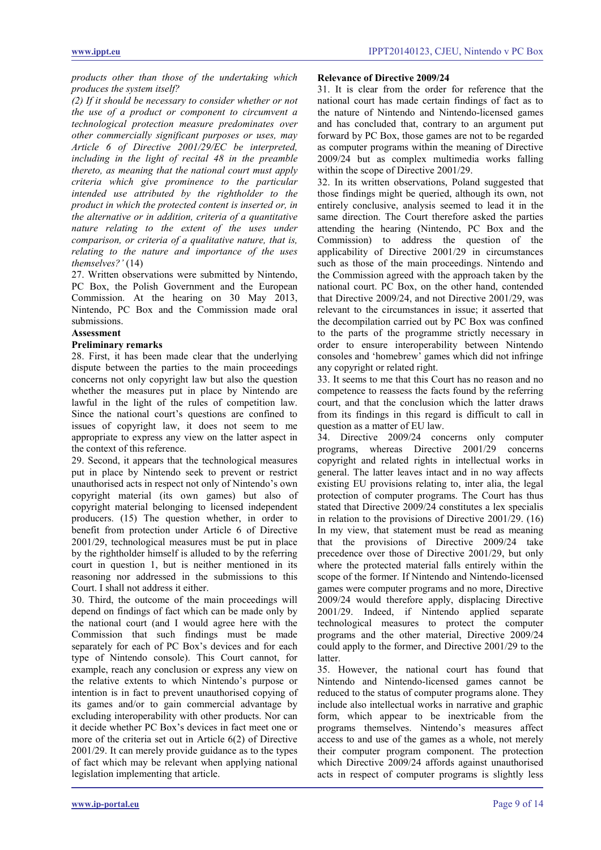*products other than those of the undertaking which produces the system itself?*

*(2) If it should be necessary to consider whether or not the use of a product or component to circumvent a technological protection measure predominates over other commercially significant purposes or uses, may Article 6 of Directive 2001/29/EC be interpreted, including in the light of recital 48 in the preamble thereto, as meaning that the national court must apply criteria which give prominence to the particular intended use attributed by the rightholder to the product in which the protected content is inserted or, in the alternative or in addition, criteria of a quantitative nature relating to the extent of the uses under comparison, or criteria of a qualitative nature, that is, relating to the nature and importance of the uses themselves?'* (14)

27. Written observations were submitted by Nintendo, PC Box, the Polish Government and the European Commission. At the hearing on 30 May 2013, Nintendo, PC Box and the Commission made oral submissions.

#### **Assessment**

### **Preliminary remarks**

28. First, it has been made clear that the underlying dispute between the parties to the main proceedings concerns not only copyright law but also the question whether the measures put in place by Nintendo are lawful in the light of the rules of competition law. Since the national court's questions are confined to issues of copyright law, it does not seem to me appropriate to express any view on the latter aspect in the context of this reference.

29. Second, it appears that the technological measures put in place by Nintendo seek to prevent or restrict unauthorised acts in respect not only of Nintendo's own copyright material (its own games) but also of copyright material belonging to licensed independent producers. (15) The question whether, in order to benefit from protection under Article 6 of Directive 2001/29, technological measures must be put in place by the rightholder himself is alluded to by the referring court in question 1, but is neither mentioned in its reasoning nor addressed in the submissions to this Court. I shall not address it either.

30. Third, the outcome of the main proceedings will depend on findings of fact which can be made only by the national court (and I would agree here with the Commission that such findings must be made separately for each of PC Box's devices and for each type of Nintendo console). This Court cannot, for example, reach any conclusion or express any view on the relative extents to which Nintendo's purpose or intention is in fact to prevent unauthorised copying of its games and/or to gain commercial advantage by excluding interoperability with other products. Nor can it decide whether PC Box's devices in fact meet one or more of the criteria set out in Article 6(2) of Directive 2001/29. It can merely provide guidance as to the types of fact which may be relevant when applying national legislation implementing that article.

# **Relevance of Directive 2009/24**

31. It is clear from the order for reference that the national court has made certain findings of fact as to the nature of Nintendo and Nintendo-licensed games and has concluded that, contrary to an argument put forward by PC Box, those games are not to be regarded as computer programs within the meaning of Directive 2009/24 but as complex multimedia works falling within the scope of Directive 2001/29.

32. In its written observations, Poland suggested that those findings might be queried, although its own, not entirely conclusive, analysis seemed to lead it in the same direction. The Court therefore asked the parties attending the hearing (Nintendo, PC Box and the Commission) to address the question of the applicability of Directive 2001/29 in circumstances such as those of the main proceedings. Nintendo and the Commission agreed with the approach taken by the national court. PC Box, on the other hand, contended that Directive 2009/24, and not Directive 2001/29, was relevant to the circumstances in issue; it asserted that the decompilation carried out by PC Box was confined to the parts of the programme strictly necessary in order to ensure interoperability between Nintendo consoles and 'homebrew' games which did not infringe any copyright or related right.

33. It seems to me that this Court has no reason and no competence to reassess the facts found by the referring court, and that the conclusion which the latter draws from its findings in this regard is difficult to call in question as a matter of EU law.

34. Directive 2009/24 concerns only computer programs, whereas Directive 2001/29 concerns copyright and related rights in intellectual works in general. The latter leaves intact and in no way affects existing EU provisions relating to, inter alia, the legal protection of computer programs. The Court has thus stated that Directive 2009/24 constitutes a lex specialis in relation to the provisions of Directive 2001/29. (16) In my view, that statement must be read as meaning that the provisions of Directive 2009/24 take precedence over those of Directive 2001/29, but only where the protected material falls entirely within the scope of the former. If Nintendo and Nintendo-licensed games were computer programs and no more, Directive 2009/24 would therefore apply, displacing Directive 2001/29. Indeed, if Nintendo applied separate technological measures to protect the computer programs and the other material, Directive 2009/24 could apply to the former, and Directive 2001/29 to the **latter** 

35. However, the national court has found that Nintendo and Nintendo-licensed games cannot be reduced to the status of computer programs alone. They include also intellectual works in narrative and graphic form, which appear to be inextricable from the programs themselves. Nintendo's measures affect access to and use of the games as a whole, not merely their computer program component. The protection which Directive 2009/24 affords against unauthorised acts in respect of computer programs is slightly less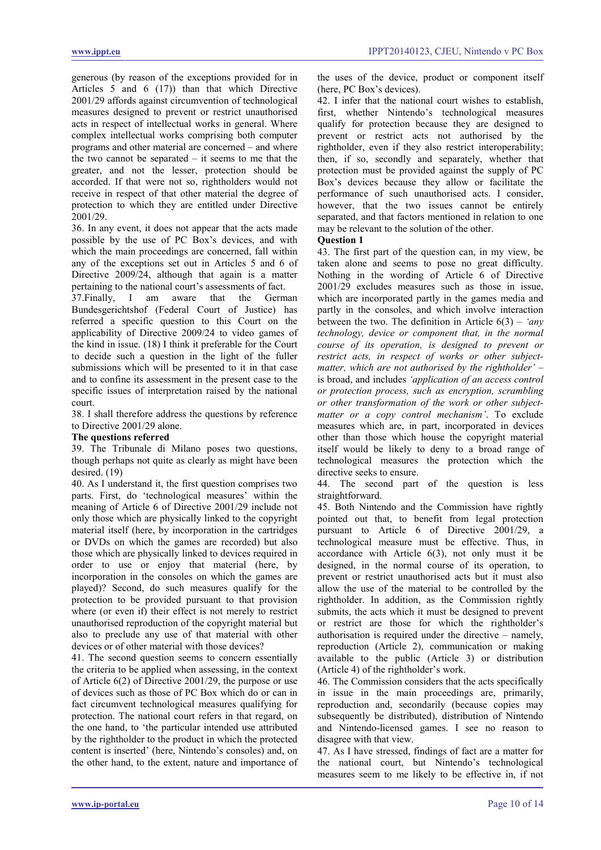generous (by reason of the exceptions provided for in Articles 5 and 6 (17)) than that which Directive 2001/29 affords against circumvention of technological measures designed to prevent or restrict unauthorised acts in respect of intellectual works in general. Where complex intellectual works comprising both computer programs and other material are concerned – and where the two cannot be separated  $-$  it seems to me that the greater, and not the lesser, protection should be accorded. If that were not so, rightholders would not receive in respect of that other material the degree of protection to which they are entitled under Directive 2001/29.

36. In any event, it does not appear that the acts made possible by the use of PC Box's devices, and with which the main proceedings are concerned, fall within any of the exceptions set out in Articles 5 and 6 of Directive 2009/24, although that again is a matter pertaining to the national court's assessments of fact.

37.Finally, I am aware that the German Bundesgerichtshof (Federal Court of Justice) has referred a specific question to this Court on the applicability of Directive 2009/24 to video games of the kind in issue. (18) I think it preferable for the Court to decide such a question in the light of the fuller submissions which will be presented to it in that case and to confine its assessment in the present case to the specific issues of interpretation raised by the national court.

38. I shall therefore address the questions by reference to Directive 2001/29 alone.

# **The questions referred**

39. The Tribunale di Milano poses two questions, though perhaps not quite as clearly as might have been desired. (19)

40. As I understand it, the first question comprises two parts. First, do 'technological measures' within the meaning of Article 6 of Directive 2001/29 include not only those which are physically linked to the copyright material itself (here, by incorporation in the cartridges or DVDs on which the games are recorded) but also those which are physically linked to devices required in order to use or enjoy that material (here, by incorporation in the consoles on which the games are played)? Second, do such measures qualify for the protection to be provided pursuant to that provision where (or even if) their effect is not merely to restrict unauthorised reproduction of the copyright material but also to preclude any use of that material with other devices or of other material with those devices?

41. The second question seems to concern essentially the criteria to be applied when assessing, in the context of Article 6(2) of Directive 2001/29, the purpose or use of devices such as those of PC Box which do or can in fact circumvent technological measures qualifying for protection. The national court refers in that regard, on the one hand, to 'the particular intended use attributed by the rightholder to the product in which the protected content is inserted' (here, Nintendo's consoles) and, on the other hand, to the extent, nature and importance of the uses of the device, product or component itself (here, PC Box's devices).

42. I infer that the national court wishes to establish, first, whether Nintendo's technological measures qualify for protection because they are designed to prevent or restrict acts not authorised by the rightholder, even if they also restrict interoperability; then, if so, secondly and separately, whether that protection must be provided against the supply of PC Box's devices because they allow or facilitate the performance of such unauthorised acts. I consider, however, that the two issues cannot be entirely separated, and that factors mentioned in relation to one may be relevant to the solution of the other.

## **Question 1**

<span id="page-9-0"></span>43. The first part of the question can, in my view, be taken alone and seems to pose no great difficulty. Nothing in the wording of Article 6 of Directive 2001/29 excludes measures such as those in issue, which are incorporated partly in the games media and partly in the consoles, and which involve interaction between the two. The definition in Article 6(3) – *'any technology, device or component that, in the normal course of its operation, is designed to prevent or restrict acts, in respect of works or other subjectmatter, which are not authorised by the rightholder'* – is broad, and includes *'application of an access control or protection process, such as encryption, scrambling or other transformation of the work or other subjectmatter or a copy control mechanism'*. To exclude measures which are, in part, incorporated in devices other than those which house the copyright material itself would be likely to deny to a broad range of technological measures the protection which the directive seeks to ensure.

44. The second part of the question is less straightforward.

45. Both Nintendo and the Commission have rightly pointed out that, to benefit from legal protection pursuant to Article 6 of Directive 2001/29, a technological measure must be effective. Thus, in accordance with Article 6(3), not only must it be designed, in the normal course of its operation, to prevent or restrict unauthorised acts but it must also allow the use of the material to be controlled by the rightholder. In addition, as the Commission rightly submits, the acts which it must be designed to prevent or restrict are those for which the rightholder's authorisation is required under the directive – namely, reproduction (Article 2), communication or making available to the public (Article 3) or distribution (Article 4) of the rightholder's work.

46. The Commission considers that the acts specifically in issue in the main proceedings are, primarily, reproduction and, secondarily (because copies may subsequently be distributed), distribution of Nintendo and Nintendo-licensed games. I see no reason to disagree with that view.

47. As I have stressed, findings of fact are a matter for the national court, but Nintendo's technological measures seem to me likely to be effective in, if not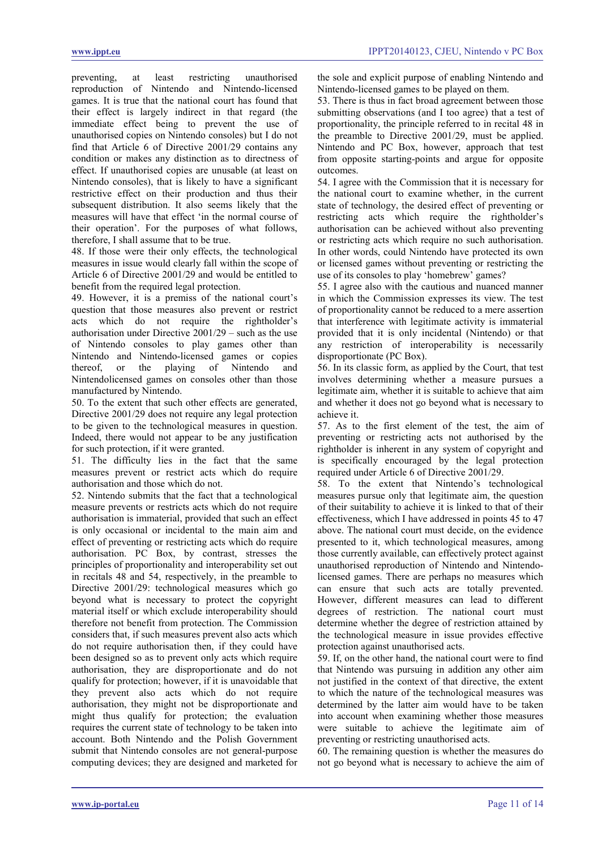preventing, at least restricting unauthorised reproduction of Nintendo and Nintendo-licensed games. It is true that the national court has found that their effect is largely indirect in that regard (the immediate effect being to prevent the use of unauthorised copies on Nintendo consoles) but I do not find that Article 6 of Directive 2001/29 contains any condition or makes any distinction as to directness of effect. If unauthorised copies are unusable (at least on Nintendo consoles), that is likely to have a significant restrictive effect on their production and thus their subsequent distribution. It also seems likely that the measures will have that effect 'in the normal course of their operation'. For the purposes of what follows, therefore, I shall assume that to be true.

48. If those were their only effects, the technological measures in issue would clearly fall within the scope of Article 6 of Directive 2001/29 and would be entitled to benefit from the required legal protection.

49. However, it is a premiss of the national court's question that those measures also prevent or restrict acts which do not require the rightholder's authorisation under Directive 2001/29 – such as the use of Nintendo consoles to play games other than Nintendo and Nintendo-licensed games or copies thereof, or the playing of Nintendo and Nintendolicensed games on consoles other than those manufactured by Nintendo.

50. To the extent that such other effects are generated, Directive 2001/29 does not require any legal protection to be given to the technological measures in question. Indeed, there would not appear to be any justification for such protection, if it were granted.

51. The difficulty lies in the fact that the same measures prevent or restrict acts which do require authorisation and those which do not.

52. Nintendo submits that the fact that a technological measure prevents or restricts acts which do not require authorisation is immaterial, provided that such an effect is only occasional or incidental to the main aim and effect of preventing or restricting acts which do require authorisation. PC Box, by contrast, stresses the principles of proportionality and interoperability set out in recitals 48 and 54, respectively, in the preamble to Directive 2001/29: technological measures which go beyond what is necessary to protect the copyright material itself or which exclude interoperability should therefore not benefit from protection. The Commission considers that, if such measures prevent also acts which do not require authorisation then, if they could have been designed so as to prevent only acts which require authorisation, they are disproportionate and do not qualify for protection; however, if it is unavoidable that they prevent also acts which do not require authorisation, they might not be disproportionate and might thus qualify for protection; the evaluation requires the current state of technology to be taken into account. Both Nintendo and the Polish Government submit that Nintendo consoles are not general-purpose computing devices; they are designed and marketed for the sole and explicit purpose of enabling Nintendo and Nintendo-licensed games to be played on them.

<span id="page-10-0"></span>53. There is thus in fact broad agreement between those submitting observations (and I too agree) that a test of proportionality, the principle referred to in recital 48 in the preamble to Directive 2001/29, must be applied. Nintendo and PC Box, however, approach that test from opposite starting-points and argue for opposite outcomes.

54. I agree with the Commission that it is necessary for the national court to examine whether, in the current state of technology, the desired effect of preventing or restricting acts which require the rightholder's authorisation can be achieved without also preventing or restricting acts which require no such authorisation. In other words, could Nintendo have protected its own or licensed games without preventing or restricting the use of its consoles to play 'homebrew' games?

55. I agree also with the cautious and nuanced manner in which the Commission expresses its view. The test of proportionality cannot be reduced to a mere assertion that interference with legitimate activity is immaterial provided that it is only incidental (Nintendo) or that any restriction of interoperability is necessarily disproportionate (PC Box).

56. In its classic form, as applied by the Court, that test involves determining whether a measure pursues a legitimate aim, whether it is suitable to achieve that aim and whether it does not go beyond what is necessary to achieve it.

57. As to the first element of the test, the aim of preventing or restricting acts not authorised by the rightholder is inherent in any system of copyright and is specifically encouraged by the legal protection required under Article 6 of Directive 2001/29.

58. To the extent that Nintendo's technological measures pursue only that legitimate aim, the question of their suitability to achieve it is linked to that of their effectiveness, which I have addressed in points 45 to 47 above. The national court must decide, on the evidence presented to it, which technological measures, among those currently available, can effectively protect against unauthorised reproduction of Nintendo and Nintendolicensed games. There are perhaps no measures which can ensure that such acts are totally prevented. However, different measures can lead to different degrees of restriction. The national court must determine whether the degree of restriction attained by the technological measure in issue provides effective protection against unauthorised acts.

59. If, on the other hand, the national court were to find that Nintendo was pursuing in addition any other aim not justified in the context of that directive, the extent to which the nature of the technological measures was determined by the latter aim would have to be taken into account when examining whether those measures were suitable to achieve the legitimate aim of preventing or restricting unauthorised acts.

60. The remaining question is whether the measures do not go beyond what is necessary to achieve the aim of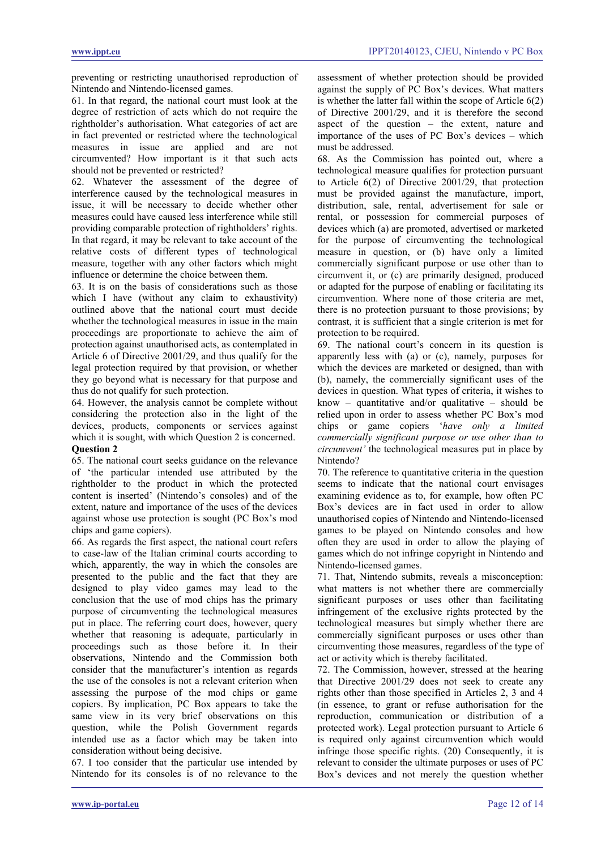preventing or restricting unauthorised reproduction of Nintendo and Nintendo-licensed games.

61. In that regard, the national court must look at the degree of restriction of acts which do not require the rightholder's authorisation. What categories of act are in fact prevented or restricted where the technological measures in issue are applied and are not circumvented? How important is it that such acts should not be prevented or restricted?

62. Whatever the assessment of the degree of interference caused by the technological measures in issue, it will be necessary to decide whether other measures could have caused less interference while still providing comparable protection of rightholders' rights. In that regard, it may be relevant to take account of the relative costs of different types of technological measure, together with any other factors which might influence or determine the choice between them.

63. It is on the basis of considerations such as those which I have (without any claim to exhaustivity) outlined above that the national court must decide whether the technological measures in issue in the main proceedings are proportionate to achieve the aim of protection against unauthorised acts, as contemplated in Article 6 of Directive 2001/29, and thus qualify for the legal protection required by that provision, or whether they go beyond what is necessary for that purpose and thus do not qualify for such protection.

64. However, the analysis cannot be complete without considering the protection also in the light of the devices, products, components or services against which it is sought, with which Question 2 is concerned.

# **Question 2**

65. The national court seeks guidance on the relevance of 'the particular intended use attributed by the rightholder to the product in which the protected content is inserted' (Nintendo's consoles) and of the extent, nature and importance of the uses of the devices against whose use protection is sought (PC Box's mod chips and game copiers).

66. As regards the first aspect, the national court refers to case-law of the Italian criminal courts according to which, apparently, the way in which the consoles are presented to the public and the fact that they are designed to play video games may lead to the conclusion that the use of mod chips has the primary purpose of circumventing the technological measures put in place. The referring court does, however, query whether that reasoning is adequate, particularly in proceedings such as those before it. In their observations, Nintendo and the Commission both consider that the manufacturer's intention as regards the use of the consoles is not a relevant criterion when assessing the purpose of the mod chips or game copiers. By implication, PC Box appears to take the same view in its very brief observations on this question, while the Polish Government regards intended use as a factor which may be taken into consideration without being decisive.

<span id="page-11-0"></span>67. I too consider that the particular use intended by Nintendo for its consoles is of no relevance to the assessment of whether protection should be provided against the supply of PC Box's devices. What matters is whether the latter fall within the scope of Article 6(2) of Directive 2001/29, and it is therefore the second aspect of the question – the extent, nature and importance of the uses of PC Box's devices – which must be addressed.

68. As the Commission has pointed out, where a technological measure qualifies for protection pursuant to Article 6(2) of Directive 2001/29, that protection must be provided against the manufacture, import, distribution, sale, rental, advertisement for sale or rental, or possession for commercial purposes of devices which (a) are promoted, advertised or marketed for the purpose of circumventing the technological measure in question, or (b) have only a limited commercially significant purpose or use other than to circumvent it, or (c) are primarily designed, produced or adapted for the purpose of enabling or facilitating its circumvention. Where none of those criteria are met, there is no protection pursuant to those provisions; by contrast, it is sufficient that a single criterion is met for protection to be required.

69. The national court's concern in its question is apparently less with (a) or (c), namely, purposes for which the devices are marketed or designed, than with (b), namely, the commercially significant uses of the devices in question. What types of criteria, it wishes to know – quantitative and/or qualitative – should be relied upon in order to assess whether PC Box's mod chips or game copiers '*have only a limited commercially significant purpose or use other than to circumvent'* the technological measures put in place by Nintendo?

70. The reference to quantitative criteria in the question seems to indicate that the national court envisages examining evidence as to, for example, how often PC Box's devices are in fact used in order to allow unauthorised copies of Nintendo and Nintendo-licensed games to be played on Nintendo consoles and how often they are used in order to allow the playing of games which do not infringe copyright in Nintendo and Nintendo-licensed games.

71. That, Nintendo submits, reveals a misconception: what matters is not whether there are commercially significant purposes or uses other than facilitating infringement of the exclusive rights protected by the technological measures but simply whether there are commercially significant purposes or uses other than circumventing those measures, regardless of the type of act or activity which is thereby facilitated.

72. The Commission, however, stressed at the hearing that Directive 2001/29 does not seek to create any rights other than those specified in Articles 2, 3 and 4 (in essence, to grant or refuse authorisation for the reproduction, communication or distribution of a protected work). Legal protection pursuant to Article 6 is required only against circumvention which would infringe those specific rights. (20) Consequently, it is relevant to consider the ultimate purposes or uses of PC Box's devices and not merely the question whether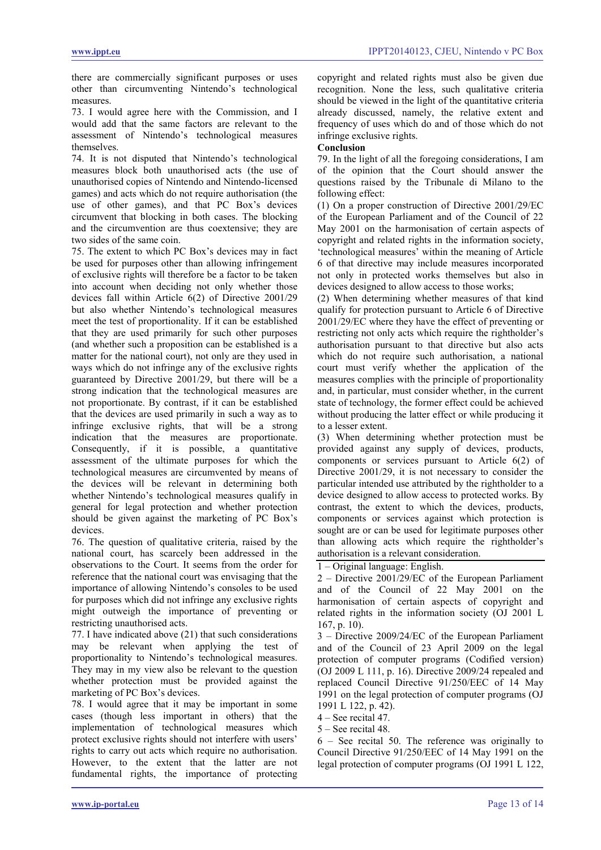there are commercially significant purposes or uses other than circumventing Nintendo's technological measures.

73. I would agree here with the Commission, and I would add that the same factors are relevant to the assessment of Nintendo's technological measures themselves.

74. It is not disputed that Nintendo's technological measures block both unauthorised acts (the use of unauthorised copies of Nintendo and Nintendo-licensed games) and acts which do not require authorisation (the use of other games), and that PC Box's devices circumvent that blocking in both cases. The blocking and the circumvention are thus coextensive; they are two sides of the same coin.

75. The extent to which PC Box's devices may in fact be used for purposes other than allowing infringement of exclusive rights will therefore be a factor to be taken into account when deciding not only whether those devices fall within Article 6(2) of Directive 2001/29 but also whether Nintendo's technological measures meet the test of proportionality. If it can be established that they are used primarily for such other purposes (and whether such a proposition can be established is a matter for the national court), not only are they used in ways which do not infringe any of the exclusive rights guaranteed by Directive 2001/29, but there will be a strong indication that the technological measures are not proportionate. By contrast, if it can be established that the devices are used primarily in such a way as to infringe exclusive rights, that will be a strong indication that the measures are proportionate. Consequently, if it is possible, a quantitative assessment of the ultimate purposes for which the technological measures are circumvented by means of the devices will be relevant in determining both whether Nintendo's technological measures qualify in general for legal protection and whether protection should be given against the marketing of PC Box's devices.

76. The question of qualitative criteria, raised by the national court, has scarcely been addressed in the observations to the Court. It seems from the order for reference that the national court was envisaging that the importance of allowing Nintendo's consoles to be used for purposes which did not infringe any exclusive rights might outweigh the importance of preventing or restricting unauthorised acts.

77. I have indicated above (21) that such considerations may be relevant when applying the test of proportionality to Nintendo's technological measures. They may in my view also be relevant to the question whether protection must be provided against the marketing of PC Box's devices.

78. I would agree that it may be important in some cases (though less important in others) that the implementation of technological measures which protect exclusive rights should not interfere with users' rights to carry out acts which require no authorisation. However, to the extent that the latter are not fundamental rights, the importance of protecting copyright and related rights must also be given due recognition. None the less, such qualitative criteria should be viewed in the light of the quantitative criteria already discussed, namely, the relative extent and frequency of uses which do and of those which do not infringe exclusive rights.

## **Conclusion**

79. In the light of all the foregoing considerations, I am of the opinion that the Court should answer the questions raised by the Tribunale di Milano to the following effect:

(1) On a proper construction of Directive 2001/29/EC of the European Parliament and of the Council of 22 May 2001 on the harmonisation of certain aspects of copyright and related rights in the information society, 'technological measures' within the meaning of Article 6 of that directive may include measures incorporated not only in protected works themselves but also in devices designed to allow access to those works;

(2) When determining whether measures of that kind qualify for protection pursuant to Article 6 of Directive 2001/29/EC where they have the effect of preventing or restricting not only acts which require the rightholder's authorisation pursuant to that directive but also acts which do not require such authorisation, a national court must verify whether the application of the measures complies with the principle of proportionality and, in particular, must consider whether, in the current state of technology, the former effect could be achieved without producing the latter effect or while producing it to a lesser extent.

(3) When determining whether protection must be provided against any supply of devices, products, components or services pursuant to Article 6(2) of Directive 2001/29, it is not necessary to consider the particular intended use attributed by the rightholder to a device designed to allow access to protected works. By contrast, the extent to which the devices, products, components or services against which protection is sought are or can be used for legitimate purposes other than allowing acts which require the rightholder's authorisation is a relevant consideration.

3 – Directive 2009/24/EC of the European Parliament and of the Council of 23 April 2009 on the legal protection of computer programs (Codified version) (OJ 2009 L 111, p. 16). Directive 2009/24 repealed and replaced Council Directive 91/250/EEC of 14 May 1991 on the legal protection of computer programs (OJ 1991 L 122, p. 42).

- 4 See recital 47.
- 5 See recital 48.

6 – See recital 50. The reference was originally to Council Directive 91/250/EEC of 14 May 1991 on the legal protection of computer programs (OJ 1991 L 122,

<sup>1 –</sup> Original language: English.

<sup>2 –</sup> Directive 2001/29/EC of the European Parliament and of the Council of 22 May 2001 on the harmonisation of certain aspects of copyright and related rights in the information society (OJ 2001 L 167, p. 10).